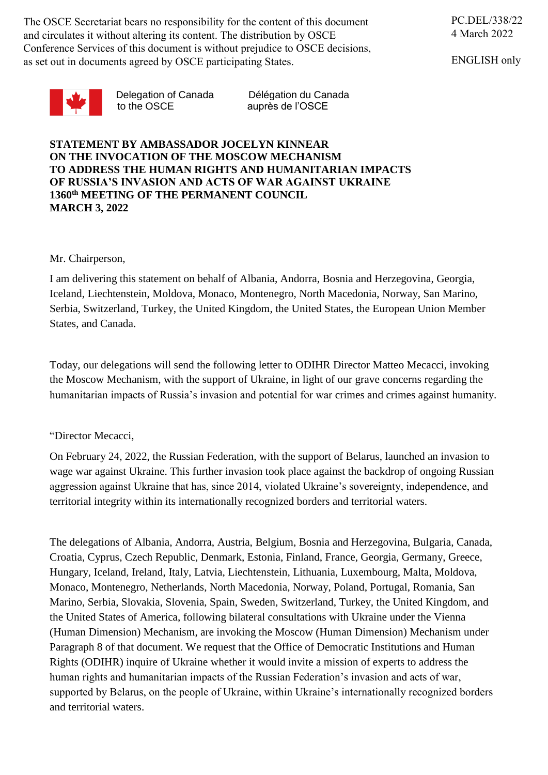The OSCE Secretariat bears no responsibility for the content of this document and circulates it without altering its content. The distribution by OSCE Conference Services of this document is without prejudice to OSCE decisions, as set out in documents agreed by OSCE participating States.

ENGLISH only



to the OSCE auprès de l'OSCE

Delegation of Canada Délégation du Canada

**STATEMENT BY AMBASSADOR JOCELYN KINNEAR ON THE INVOCATION OF THE MOSCOW MECHANISM TO ADDRESS THE HUMAN RIGHTS AND HUMANITARIAN IMPACTS OF RUSSIA'S INVASION AND ACTS OF WAR AGAINST UKRAINE 1360th MEETING OF THE PERMANENT COUNCIL MARCH 3, 2022**

## Mr. Chairperson,

I am delivering this statement on behalf of Albania, Andorra, Bosnia and Herzegovina, Georgia, Iceland, Liechtenstein, Moldova, Monaco, Montenegro, North Macedonia, Norway, San Marino, Serbia, Switzerland, Turkey, the United Kingdom, the United States, the European Union Member States, and Canada.

Today, our delegations will send the following letter to ODIHR Director Matteo Mecacci, invoking the Moscow Mechanism, with the support of Ukraine, in light of our grave concerns regarding the humanitarian impacts of Russia's invasion and potential for war crimes and crimes against humanity.

## "Director Mecacci,

On February 24, 2022, the Russian Federation, with the support of Belarus, launched an invasion to wage war against Ukraine. This further invasion took place against the backdrop of ongoing Russian aggression against Ukraine that has, since 2014, violated Ukraine's sovereignty, independence, and territorial integrity within its internationally recognized borders and territorial waters.

The delegations of Albania, Andorra, Austria, Belgium, Bosnia and Herzegovina, Bulgaria, Canada, Croatia, Cyprus, Czech Republic, Denmark, Estonia, Finland, France, Georgia, Germany, Greece, Hungary, Iceland, Ireland, Italy, Latvia, Liechtenstein, Lithuania, Luxembourg, Malta, Moldova, Monaco, Montenegro, Netherlands, North Macedonia, Norway, Poland, Portugal, Romania, San Marino, Serbia, Slovakia, Slovenia, Spain, Sweden, Switzerland, Turkey, the United Kingdom, and the United States of America, following bilateral consultations with Ukraine under the Vienna (Human Dimension) Mechanism, are invoking the Moscow (Human Dimension) Mechanism under Paragraph 8 of that document. We request that the Office of Democratic Institutions and Human Rights (ODIHR) inquire of Ukraine whether it would invite a mission of experts to address the human rights and humanitarian impacts of the Russian Federation's invasion and acts of war, supported by Belarus, on the people of Ukraine, within Ukraine's internationally recognized borders and territorial waters.